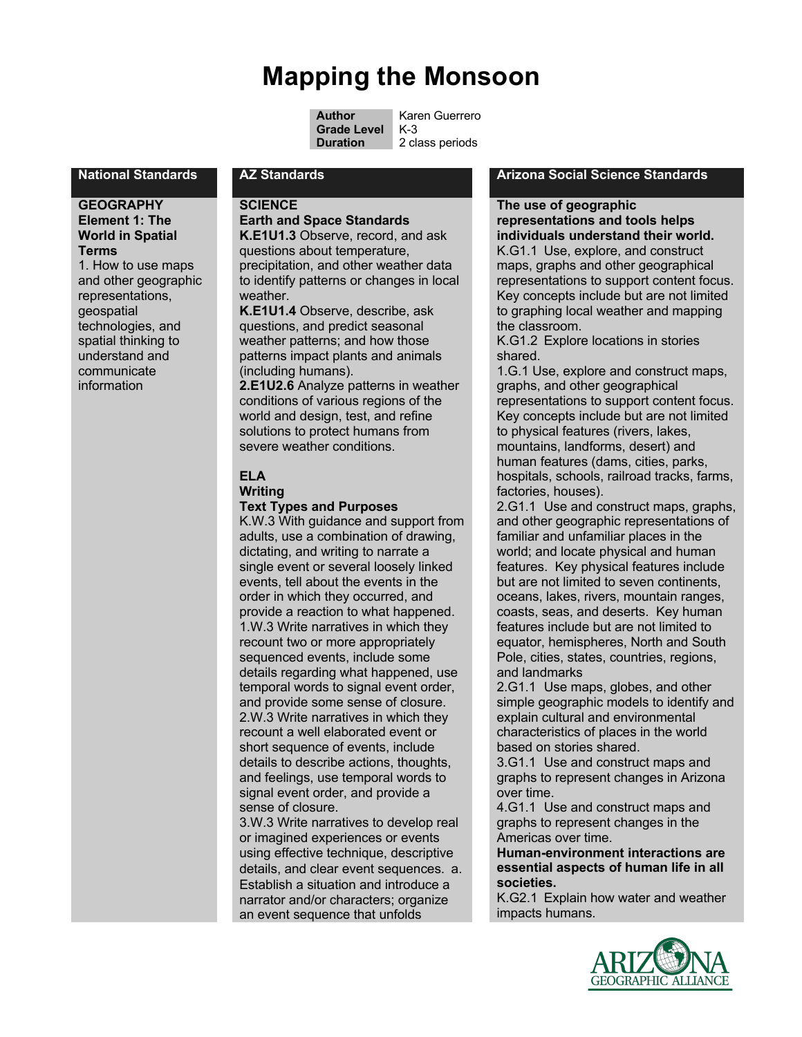# **Mapping the Monsoon**

**Author** Karen Guerrero<br>**Grade Level** K-3

2 class periods

#### **GEOGRAPHY Element 1: The World in Spatial Terms**

1. How to use maps and other geographic representations, geospatial technologies, and spatial thinking to understand and communicate information

## **SCIENCE**

## **Earth and Space Standards**

**K.E1U1.3** Observe, record, and ask questions about temperature, precipitation, and other weather data to identify patterns or changes in local weather.

**K.E1U1.4** Observe, describe, ask questions, and predict seasonal weather patterns; and how those patterns impact plants and animals (including humans).

**2.E1U2.6** Analyze patterns in weather conditions of various regions of the world and design, test, and refine solutions to protect humans from severe weather conditions.

## **ELA**

## **Writing**

#### **Text Types and Purposes**

K.W.3 With guidance and support from adults, use a combination of drawing, dictating, and writing to narrate a single event or several loosely linked events, tell about the events in the order in which they occurred, and provide a reaction to what happened. 1.W.3 Write narratives in which they recount two or more appropriately sequenced events, include some details regarding what happened, use temporal words to signal event order, and provide some sense of closure. 2.W.3 Write narratives in which they recount a well elaborated event or short sequence of events, include details to describe actions, thoughts, and feelings, use temporal words to signal event order, and provide a sense of closure.

3.W.3 Write narratives to develop real or imagined experiences or events using effective technique, descriptive details, and clear event sequences. a. Establish a situation and introduce a narrator and/or characters; organize an event sequence that unfolds

#### **National Standards AZ Standards Arizona Social Science Standards**

#### **The use of geographic representations and tools helps individuals understand their world.**

K.G1.1 Use, explore, and construct maps, graphs and other geographical representations to support content focus. Key concepts include but are not limited to graphing local weather and mapping the classroom.

K.G1.2 Explore locations in stories shared.

1.G.1 Use, explore and construct maps, graphs, and other geographical representations to support content focus. Key concepts include but are not limited to physical features (rivers, lakes, mountains, landforms, desert) and human features (dams, cities, parks, hospitals, schools, railroad tracks, farms, factories, houses).

2.G1.1 Use and construct maps, graphs, and other geographic representations of familiar and unfamiliar places in the world; and locate physical and human features. Key physical features include but are not limited to seven continents, oceans, lakes, rivers, mountain ranges, coasts, seas, and deserts. Key human features include but are not limited to equator, hemispheres, North and South Pole, cities, states, countries, regions, and landmarks

2.G1.1 Use maps, globes, and other simple geographic models to identify and explain cultural and environmental characteristics of places in the world based on stories shared.

3.G1.1 Use and construct maps and graphs to represent changes in Arizona over time.

4.G1.1 Use and construct maps and graphs to represent changes in the Americas over time.

**Human-environment interactions are essential aspects of human life in all societies.**

K.G2.1 Explain how water and weather impacts humans.



**Grade Level**<br>Duration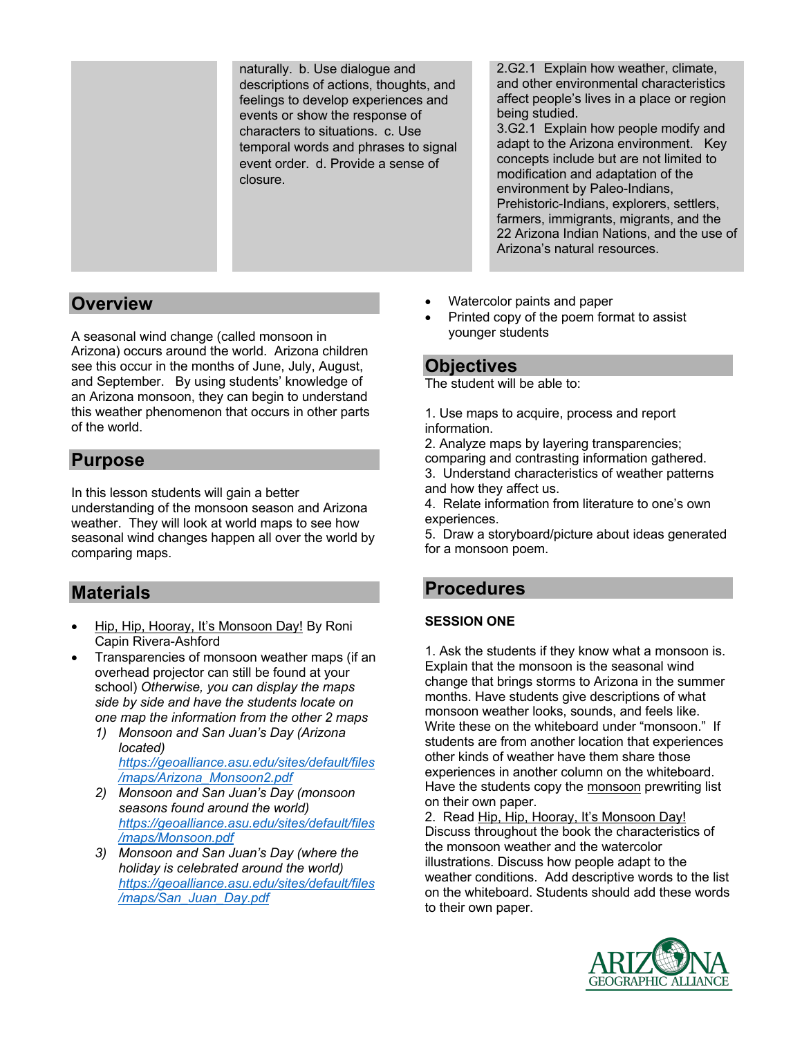naturally. b. Use dialogue and descriptions of actions, thoughts, and feelings to develop experiences and events or show the response of characters to situations. c. Use temporal words and phrases to signal event order. d. Provide a sense of closure.

2.G2.1 Explain how weather, climate, and other environmental characteristics affect people's lives in a place or region being studied.

3.G2.1 Explain how people modify and adapt to the Arizona environment. Key concepts include but are not limited to modification and adaptation of the environment by Paleo-Indians, Prehistoric-Indians, explorers, settlers, farmers, immigrants, migrants, and the 22 Arizona Indian Nations, and the use of Arizona's natural resources.

## **Overview**

A seasonal wind change (called monsoon in Arizona) occurs around the world. Arizona children see this occur in the months of June, July, August, and September. By using students' knowledge of an Arizona monsoon, they can begin to understand this weather phenomenon that occurs in other parts of the world.

## **Purpose**

In this lesson students will gain a better understanding of the monsoon season and Arizona weather. They will look at world maps to see how seasonal wind changes happen all over the world by comparing maps.

## **Materials**

- Hip, Hip, Hooray, It's Monsoon Day! By Roni Capin Rivera-Ashford
- Transparencies of monsoon weather maps (if an overhead projector can still be found at your school) *Otherwise, you can display the maps side by side and have the students locate on one map the information from the other 2 maps*
	- *1) Monsoon and San Juan's Day (Arizona located) https://geoalliance.asu.edu/sites/default/files /maps/Arizona\_Monsoon2.pdf*
	- *2) Monsoon and San Juan's Day (monsoon seasons found around the world) https://geoalliance.asu.edu/sites/default/files /maps/Monsoon.pdf*
	- *3) Monsoon and San Juan's Day (where the holiday is celebrated around the world) https://geoalliance.asu.edu/sites/default/files /maps/San\_Juan\_Day.pdf*
- Watercolor paints and paper
- Printed copy of the poem format to assist younger students

## **Objectives**

The student will be able to:

- 1. Use maps to acquire, process and report information.
- 2. Analyze maps by layering transparencies;

comparing and contrasting information gathered. 3. Understand characteristics of weather patterns and how they affect us.

4. Relate information from literature to one's own experiences.

5. Draw a storyboard/picture about ideas generated for a monsoon poem.

## **Procedures**

### **SESSION ONE**

1. Ask the students if they know what a monsoon is. Explain that the monsoon is the seasonal wind change that brings storms to Arizona in the summer months. Have students give descriptions of what monsoon weather looks, sounds, and feels like. Write these on the whiteboard under "monsoon." If students are from another location that experiences other kinds of weather have them share those experiences in another column on the whiteboard. Have the students copy the monsoon prewriting list on their own paper.

2. Read Hip, Hip, Hooray, It's Monsoon Day! Discuss throughout the book the characteristics of the monsoon weather and the watercolor illustrations. Discuss how people adapt to the weather conditions. Add descriptive words to the list on the whiteboard. Students should add these words to their own paper.